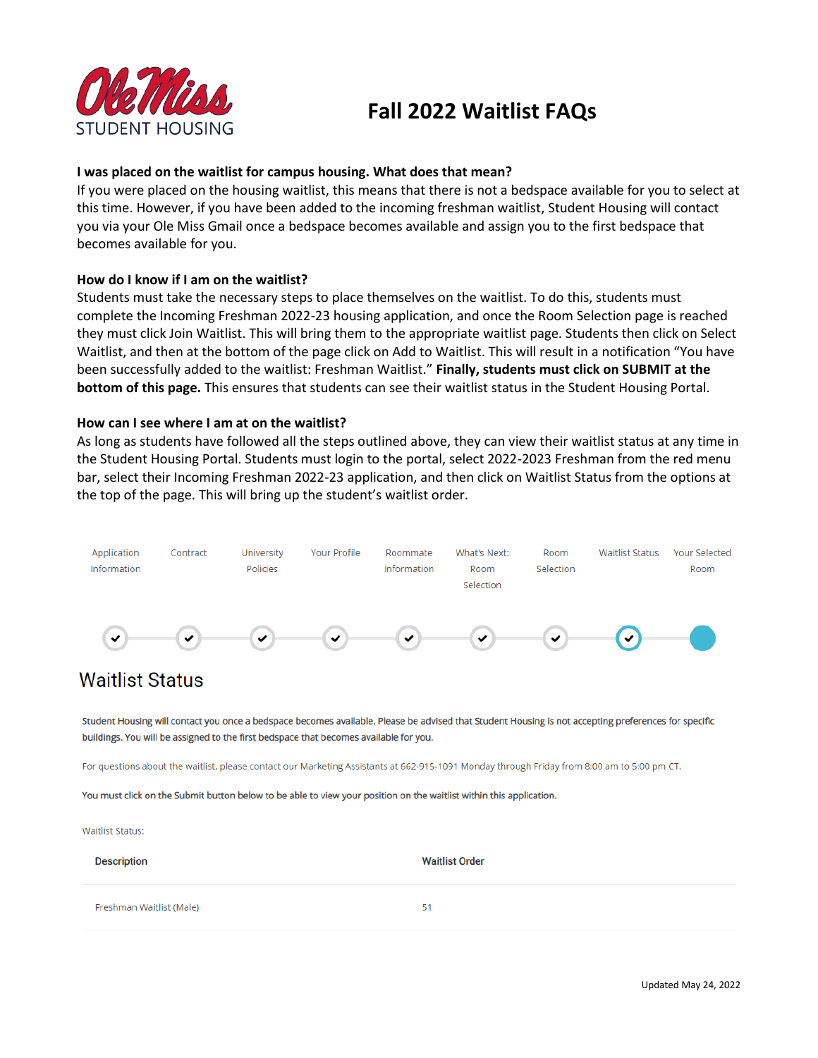

# **Fall 2022 Waitlist FAQs**

# **I was placed on the waitlist for campus housing. What does that mean?**

If you were placed on the housing waitlist, this means that there is not a bedspace available for you to select at this time. However, if you have been added to the incoming freshman waitlist, Student Housing will contact you via your Ole Miss Gmail once a bedspace becomes available and assign you to the first bedspace that becomes available for you.

### **How do I know if I am on the waitlist?**

Students must take the necessary steps to place themselves on the waitlist. To do this, students must complete the Incoming Freshman 2022-23 housing application, and once the Room Selection page is reached they must click Join Waitlist. This will bring them to the appropriate waitlist page. Students then click on Select Waitlist, and then at the bottom of the page click on Add to Waitlist. This will result in a notification "You have been successfully added to the waitlist: Freshman Waitlist." **Finally, students must click on SUBMIT at the bottom of this page.** This ensures that students can see their waitlist status in the Student Housing Portal.

### **How can I see where I am at on the waitlist?**

As long as students have followed all the steps outlined above, they can view their waitlist status at any time in the Student Housing Portal. Students must login to the portal, select 2022-2023 Freshman from the red menu bar, select their Incoming Freshman 2022-23 application, and then click on Waitlist Status from the options at the top of the page. This will bring up the student's waitlist order.



# **Waitlist Status**

Student Housing will contact you once a bedspace becomes available. Please be advised that Student Housing is not accepting preferences for specific buildings. You will be assigned to the first bedspace that becomes available for you.

For questions about the waitlist, please contact our Marketing Assistants at 662-915-1091 Monday through Friday from 8:00 am to 5:00 pm CT.

You must click on the Submit button below to be able to view your position on the waitlist within this application.

**Waitlist Status:** 

| <b>Description</b>       | <b>Waitlist Order</b> |
|--------------------------|-----------------------|
| Freshman Waitlist (Male) | 51                    |